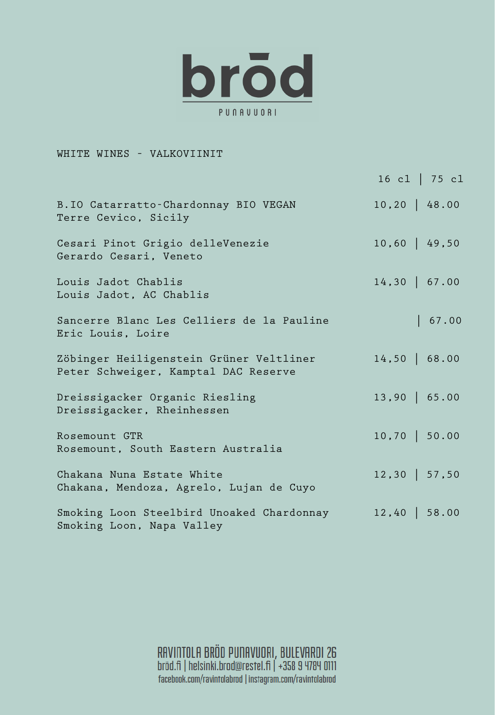

## WHITE WINES – VALKOVIINIT

|                                                                                 | 16 c1   75 c1    |
|---------------------------------------------------------------------------------|------------------|
| B.IO Catarratto-Chardonnay BIO VEGAN<br>Terre Cevico, Sicily                    | $10, 20$   48.00 |
| Cesari Pinot Grigio delleVenezie<br>Gerardo Cesari, Veneto                      | $10,60$   49,50  |
| Louis Jadot Chablis<br>Louis Jadot, AC Chablis                                  | $14,30$   67.00  |
| Sancerre Blanc Les Celliers de la Pauline<br>Eric Louis, Loire                  | 67.00            |
| Zöbinger Heiligenstein Grüner Veltliner<br>Peter Schweiger, Kamptal DAC Reserve | $14,50$   68.00  |
| Dreissigacker Organic Riesling<br>Dreissigacker, Rheinhessen                    | $13,90$   65.00  |
| Rosemount GTR<br>Rosemount, South Eastern Australia                             | $10,70$   50.00  |
| Chakana Nuna Estate White<br>Chakana, Mendoza, Agrelo, Lujan de Cuyo            | $12,30$   57,50  |
| Smoking Loon Steelbird Unoaked Chardonnay<br>Smoking Loon, Napa Valley          | $12,40$   58.00  |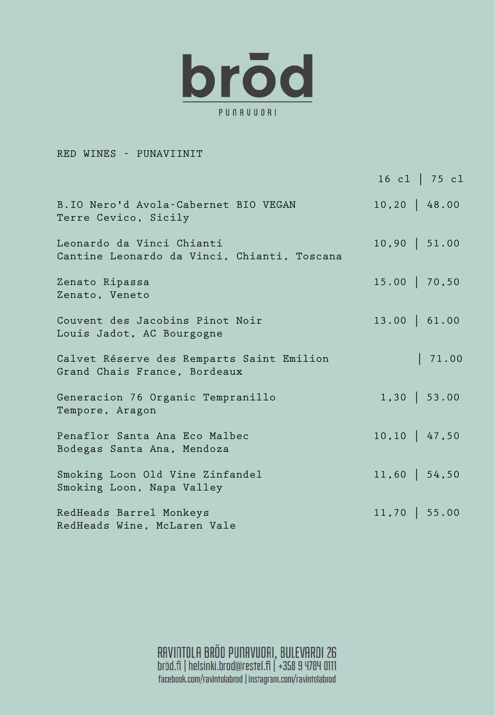

## RED WINES – PUNAVIINIT

|                                                                           | 16 cl $ 75 \text{ c}1$ |
|---------------------------------------------------------------------------|------------------------|
| B.IO Nero'd Avola-Cabernet BIO VEGAN<br>Terre Cevico, Sicily              | $10, 20$ 48.00         |
| Leonardo da Vinci Chianti<br>Cantine Leonardo da Vinci, Chianti, Toscana  | $10,90$   51.00        |
| Zenato Ripassa<br>Zenato, Veneto                                          | $15.00$   70,50        |
| Couvent des Jacobins Pinot Noir<br>Louis Jadot, AC Bourgogne              | $13.00$   61.00        |
| Calvet Réserve des Remparts Saint Emilion<br>Grand Chais France, Bordeaux | 71.00                  |
| Generacion 76 Organic Tempranillo<br>Tempore, Aragon                      | $1,30$   53.00         |
| Penaflor Santa Ana Eco Malbec<br>Bodegas Santa Ana, Mendoza               | $10, 10$   47,50       |
| Smoking Loon Old Vine Zinfandel<br>Smoking Loon, Napa Valley              | $11,60$   54,50        |
| RedHeads Barrel Monkeys<br>RedHeads Wine, McLaren Vale                    | $11,70$   55.00        |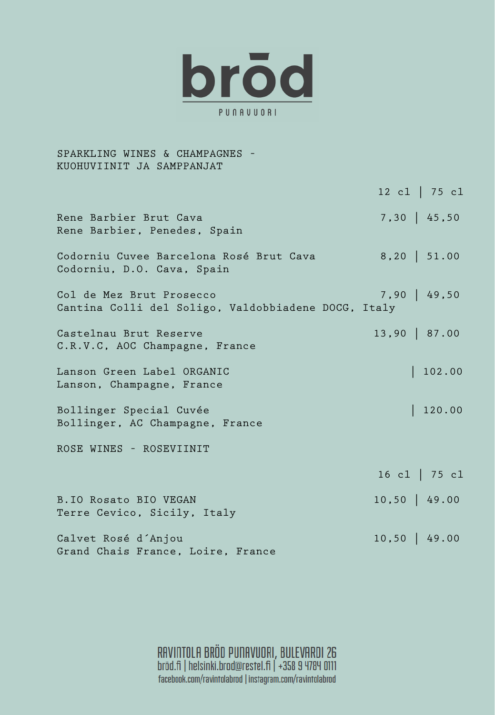

SPARKLING WINES & CHAMPAGNES – KUOHUVIINIT JA SAMPPANJAT 12 cl | 75 cl Rene Barbier Brut Cava 7,30 | 45,50 Rene Barbier, Penedes, Spain Codorniu Cuvee Barcelona Rosé Brut Cava 8,20 | 51.00 Codorniu, D.O. Cava, Spain Col de Mez Brut Prosecco 7,90 | 49,50 Cantina Colli del Soligo, Valdobbiadene DOCG, Italy Castelnau Brut Reserve 13,90 | 87.00 C.R.V.C, AOC Champagne, France Lanson Green Label ORGANIC | 102.00 Lanson, Champagne, France Bollinger Special Cuvée | 120.00 Bollinger, AC Champagne, France ROSE WINES – ROSEVIINIT 16 cl | 75 cl B.IO Rosato BIO VEGAN 10,50 | 49.00 Terre Cevico, Sicily, Italy Calvet Rosé d´Anjou 10,50 | 49.00 Grand Chais France, Loire, France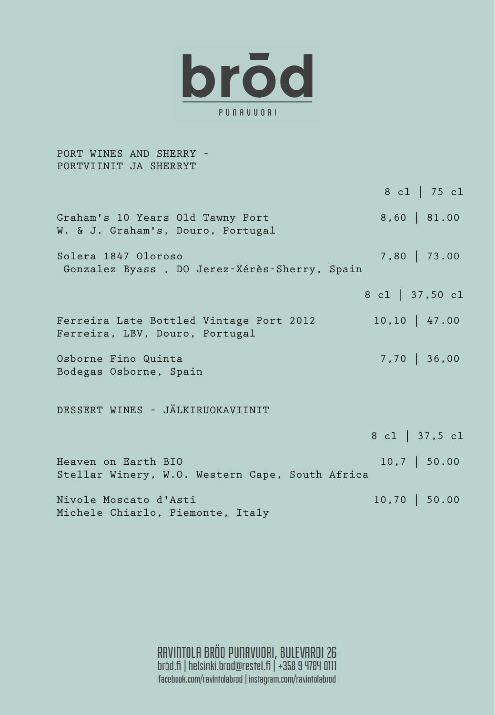

PORT WINES AND SHERRY – PORTVIINIT JA SHERRYT 8 cl | 75 cl Graham's 10 Years Old Tawny Port 8,60 | 81.00 W. & J. Graham's, Douro, Portugal Solera 1847 Oloroso 7,80 | 73.00 Gonzalez Byass , DO Jerez-Xérès-Sherry, Spain 8 cl | 37,50 cl Ferreira Late Bottled Vintage Port 2012 10,10 | 47.00 Ferreira, LBV, Douro, Portugal Osborne Fino Quinta 7,70 | 36,00 Bodegas Osborne, Spain DESSERT WINES – JÄLKIRUOKAVIINIT 8 cl | 37,5 cl Heaven on Earth BIO 10,7 | 50.00 Stellar Winery, W.O. Western Cape, South Africa Nivole Moscato d'Asti (10,70 | 50.00 Michele Chiarlo, Piemonte, Italy